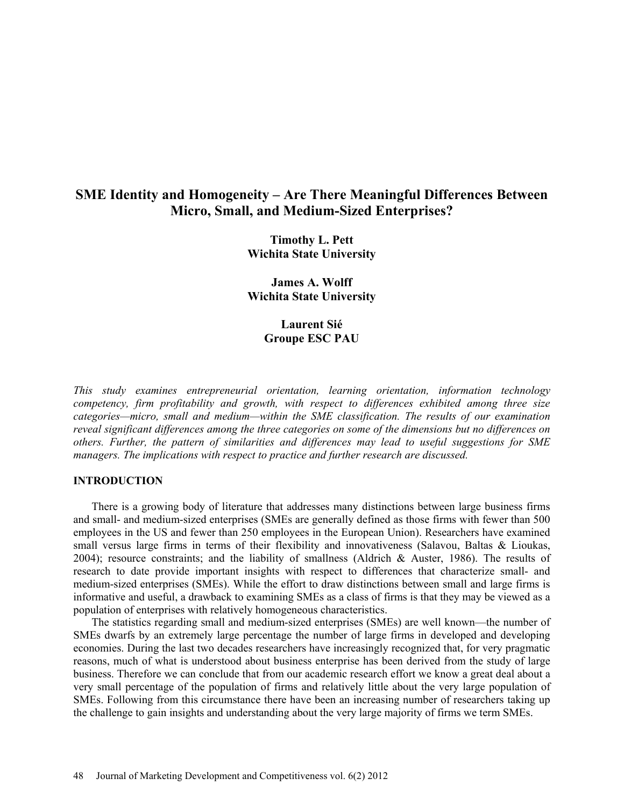# **SME Identity and Homogeneity – Are There Meaningful Differences Between Micro, Small, and Medium-Sized Enterprises?**

**Timothy L. Pett Wichita State University**

**James A. Wolff Wichita State University**

> **Laurent Sié Groupe ESC PAU**

*This study examines entrepreneurial orientation, learning orientation, information technology competency, firm profitability and growth, with respect to differences exhibited among three size categories—micro, small and medium—within the SME classification. The results of our examination reveal significant differences among the three categories on some of the dimensions but no differences on others. Further, the pattern of similarities and differences may lead to useful suggestions for SME managers. The implications with respect to practice and further research are discussed.*

### **INTRODUCTION**

There is a growing body of literature that addresses many distinctions between large business firms and small- and medium-sized enterprises (SMEs are generally defined as those firms with fewer than 500 employees in the US and fewer than 250 employees in the European Union). Researchers have examined small versus large firms in terms of their flexibility and innovativeness (Salavou, Baltas & Lioukas, 2004); resource constraints; and the liability of smallness (Aldrich & Auster, 1986). The results of research to date provide important insights with respect to differences that characterize small- and medium-sized enterprises (SMEs). While the effort to draw distinctions between small and large firms is informative and useful, a drawback to examining SMEs as a class of firms is that they may be viewed as a population of enterprises with relatively homogeneous characteristics.

The statistics regarding small and medium-sized enterprises (SMEs) are well known—the number of SMEs dwarfs by an extremely large percentage the number of large firms in developed and developing economies. During the last two decades researchers have increasingly recognized that, for very pragmatic reasons, much of what is understood about business enterprise has been derived from the study of large business. Therefore we can conclude that from our academic research effort we know a great deal about a very small percentage of the population of firms and relatively little about the very large population of SMEs. Following from this circumstance there have been an increasing number of researchers taking up the challenge to gain insights and understanding about the very large majority of firms we term SMEs.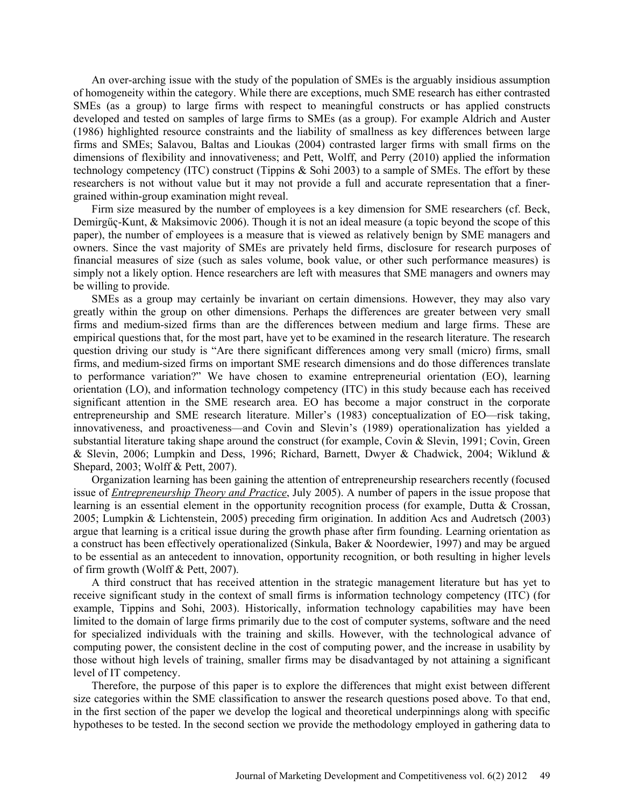An over-arching issue with the study of the population of SMEs is the arguably insidious assumption of homogeneity within the category. While there are exceptions, much SME research has either contrasted SMEs (as a group) to large firms with respect to meaningful constructs or has applied constructs developed and tested on samples of large firms to SMEs (as a group). For example Aldrich and Auster (1986) highlighted resource constraints and the liability of smallness as key differences between large firms and SMEs; Salavou, Baltas and Lioukas (2004) contrasted larger firms with small firms on the dimensions of flexibility and innovativeness; and Pett, Wolff, and Perry (2010) applied the information technology competency (ITC) construct (Tippins & Sohi 2003) to a sample of SMEs. The effort by these researchers is not without value but it may not provide a full and accurate representation that a finergrained within-group examination might reveal.

Firm size measured by the number of employees is a key dimension for SME researchers (cf. Beck, Demirgűҁ-Kunt, & Maksimovic 2006). Though it is not an ideal measure (a topic beyond the scope of this paper), the number of employees is a measure that is viewed as relatively benign by SME managers and owners. Since the vast majority of SMEs are privately held firms, disclosure for research purposes of financial measures of size (such as sales volume, book value, or other such performance measures) is simply not a likely option. Hence researchers are left with measures that SME managers and owners may be willing to provide.

SMEs as a group may certainly be invariant on certain dimensions. However, they may also vary greatly within the group on other dimensions. Perhaps the differences are greater between very small firms and medium-sized firms than are the differences between medium and large firms. These are empirical questions that, for the most part, have yet to be examined in the research literature. The research question driving our study is "Are there significant differences among very small (micro) firms, small firms, and medium-sized firms on important SME research dimensions and do those differences translate to performance variation?" We have chosen to examine entrepreneurial orientation (EO), learning orientation (LO), and information technology competency (ITC) in this study because each has received significant attention in the SME research area. EO has become a major construct in the corporate entrepreneurship and SME research literature. Miller's (1983) conceptualization of EO—risk taking, innovativeness, and proactiveness—and Covin and Slevin's (1989) operationalization has yielded a substantial literature taking shape around the construct (for example, Covin & Slevin, 1991; Covin, Green & Slevin, 2006; Lumpkin and Dess, 1996; Richard, Barnett, Dwyer & Chadwick, 2004; Wiklund & Shepard, 2003; Wolff & Pett, 2007).

Organization learning has been gaining the attention of entrepreneurship researchers recently (focused issue of *Entrepreneurship Theory and Practice*, July 2005). A number of papers in the issue propose that learning is an essential element in the opportunity recognition process (for example, Dutta & Crossan, 2005; Lumpkin & Lichtenstein, 2005) preceding firm origination. In addition Acs and Audretsch (2003) argue that learning is a critical issue during the growth phase after firm founding. Learning orientation as a construct has been effectively operationalized (Sinkula, Baker & Noordewier, 1997) and may be argued to be essential as an antecedent to innovation, opportunity recognition, or both resulting in higher levels of firm growth (Wolff & Pett, 2007).

A third construct that has received attention in the strategic management literature but has yet to receive significant study in the context of small firms is information technology competency (ITC) (for example, Tippins and Sohi, 2003). Historically, information technology capabilities may have been limited to the domain of large firms primarily due to the cost of computer systems, software and the need for specialized individuals with the training and skills. However, with the technological advance of computing power, the consistent decline in the cost of computing power, and the increase in usability by those without high levels of training, smaller firms may be disadvantaged by not attaining a significant level of IT competency.

Therefore, the purpose of this paper is to explore the differences that might exist between different size categories within the SME classification to answer the research questions posed above. To that end, in the first section of the paper we develop the logical and theoretical underpinnings along with specific hypotheses to be tested. In the second section we provide the methodology employed in gathering data to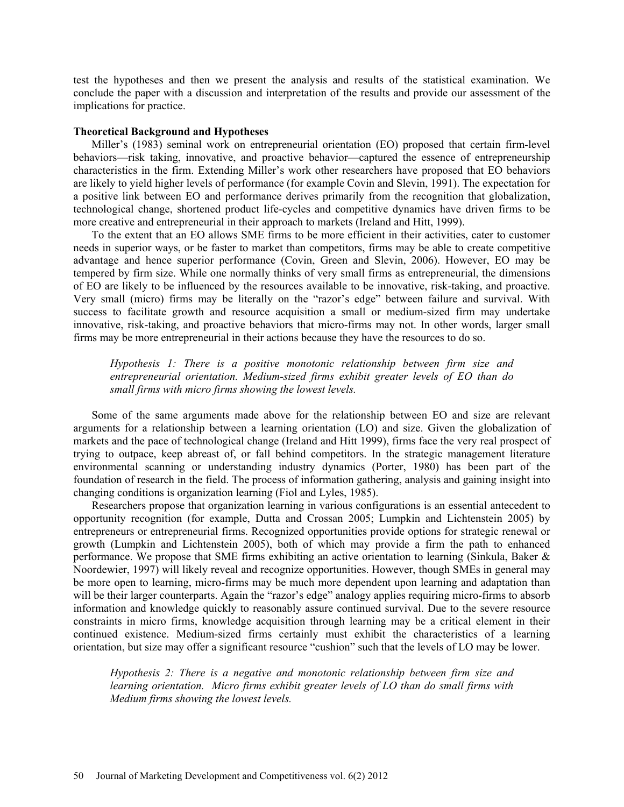test the hypotheses and then we present the analysis and results of the statistical examination. We conclude the paper with a discussion and interpretation of the results and provide our assessment of the implications for practice.

### **Theoretical Background and Hypotheses**

Miller's (1983) seminal work on entrepreneurial orientation (EO) proposed that certain firm-level behaviors—risk taking, innovative, and proactive behavior—captured the essence of entrepreneurship characteristics in the firm. Extending Miller's work other researchers have proposed that EO behaviors are likely to yield higher levels of performance (for example Covin and Slevin, 1991). The expectation for a positive link between EO and performance derives primarily from the recognition that globalization, technological change, shortened product life-cycles and competitive dynamics have driven firms to be more creative and entrepreneurial in their approach to markets (Ireland and Hitt, 1999).

To the extent that an EO allows SME firms to be more efficient in their activities, cater to customer needs in superior ways, or be faster to market than competitors, firms may be able to create competitive advantage and hence superior performance (Covin, Green and Slevin, 2006). However, EO may be tempered by firm size. While one normally thinks of very small firms as entrepreneurial, the dimensions of EO are likely to be influenced by the resources available to be innovative, risk-taking, and proactive. Very small (micro) firms may be literally on the "razor's edge" between failure and survival. With success to facilitate growth and resource acquisition a small or medium-sized firm may undertake innovative, risk-taking, and proactive behaviors that micro-firms may not. In other words, larger small firms may be more entrepreneurial in their actions because they have the resources to do so.

*Hypothesis 1: There is a positive monotonic relationship between firm size and entrepreneurial orientation. Medium-sized firms exhibit greater levels of EO than do small firms with micro firms showing the lowest levels.*

Some of the same arguments made above for the relationship between EO and size are relevant arguments for a relationship between a learning orientation (LO) and size. Given the globalization of markets and the pace of technological change (Ireland and Hitt 1999), firms face the very real prospect of trying to outpace, keep abreast of, or fall behind competitors. In the strategic management literature environmental scanning or understanding industry dynamics (Porter, 1980) has been part of the foundation of research in the field. The process of information gathering, analysis and gaining insight into changing conditions is organization learning (Fiol and Lyles, 1985).

Researchers propose that organization learning in various configurations is an essential antecedent to opportunity recognition (for example, Dutta and Crossan 2005; Lumpkin and Lichtenstein 2005) by entrepreneurs or entrepreneurial firms. Recognized opportunities provide options for strategic renewal or growth (Lumpkin and Lichtenstein 2005), both of which may provide a firm the path to enhanced performance. We propose that SME firms exhibiting an active orientation to learning (Sinkula, Baker & Noordewier, 1997) will likely reveal and recognize opportunities. However, though SMEs in general may be more open to learning, micro-firms may be much more dependent upon learning and adaptation than will be their larger counterparts. Again the "razor's edge" analogy applies requiring micro-firms to absorb information and knowledge quickly to reasonably assure continued survival. Due to the severe resource constraints in micro firms, knowledge acquisition through learning may be a critical element in their continued existence. Medium-sized firms certainly must exhibit the characteristics of a learning orientation, but size may offer a significant resource "cushion" such that the levels of LO may be lower.

*Hypothesis 2: There is a negative and monotonic relationship between firm size and learning orientation. Micro firms exhibit greater levels of LO than do small firms with Medium firms showing the lowest levels.*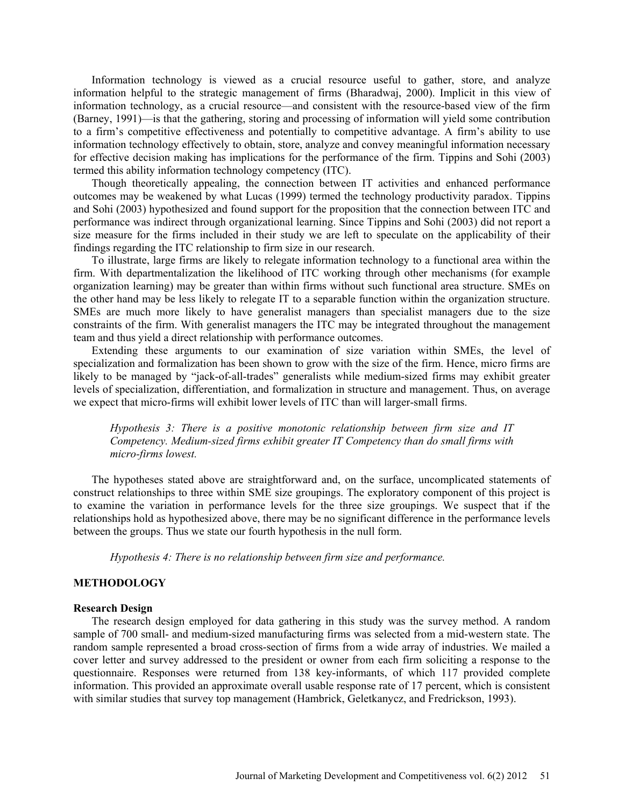Information technology is viewed as a crucial resource useful to gather, store, and analyze information helpful to the strategic management of firms (Bharadwaj, 2000). Implicit in this view of information technology, as a crucial resource—and consistent with the resource-based view of the firm (Barney, 1991)—is that the gathering, storing and processing of information will yield some contribution to a firm's competitive effectiveness and potentially to competitive advantage. A firm's ability to use information technology effectively to obtain, store, analyze and convey meaningful information necessary for effective decision making has implications for the performance of the firm. Tippins and Sohi (2003) termed this ability information technology competency (ITC).

Though theoretically appealing, the connection between IT activities and enhanced performance outcomes may be weakened by what Lucas (1999) termed the technology productivity paradox. Tippins and Sohi (2003) hypothesized and found support for the proposition that the connection between ITC and performance was indirect through organizational learning. Since Tippins and Sohi (2003) did not report a size measure for the firms included in their study we are left to speculate on the applicability of their findings regarding the ITC relationship to firm size in our research.

To illustrate, large firms are likely to relegate information technology to a functional area within the firm. With departmentalization the likelihood of ITC working through other mechanisms (for example organization learning) may be greater than within firms without such functional area structure. SMEs on the other hand may be less likely to relegate IT to a separable function within the organization structure. SMEs are much more likely to have generalist managers than specialist managers due to the size constraints of the firm. With generalist managers the ITC may be integrated throughout the management team and thus yield a direct relationship with performance outcomes.

Extending these arguments to our examination of size variation within SMEs, the level of specialization and formalization has been shown to grow with the size of the firm. Hence, micro firms are likely to be managed by "jack-of-all-trades" generalists while medium-sized firms may exhibit greater levels of specialization, differentiation, and formalization in structure and management. Thus, on average we expect that micro-firms will exhibit lower levels of ITC than will larger-small firms.

*Hypothesis 3: There is a positive monotonic relationship between firm size and IT Competency. Medium-sized firms exhibit greater IT Competency than do small firms with micro-firms lowest.*

The hypotheses stated above are straightforward and, on the surface, uncomplicated statements of construct relationships to three within SME size groupings. The exploratory component of this project is to examine the variation in performance levels for the three size groupings. We suspect that if the relationships hold as hypothesized above, there may be no significant difference in the performance levels between the groups. Thus we state our fourth hypothesis in the null form.

*Hypothesis 4: There is no relationship between firm size and performance.*

# **METHODOLOGY**

#### **Research Design**

The research design employed for data gathering in this study was the survey method. A random sample of 700 small- and medium-sized manufacturing firms was selected from a mid-western state. The random sample represented a broad cross-section of firms from a wide array of industries. We mailed a cover letter and survey addressed to the president or owner from each firm soliciting a response to the questionnaire. Responses were returned from 138 key-informants, of which 117 provided complete information. This provided an approximate overall usable response rate of 17 percent, which is consistent with similar studies that survey top management (Hambrick, Geletkanycz, and Fredrickson, 1993).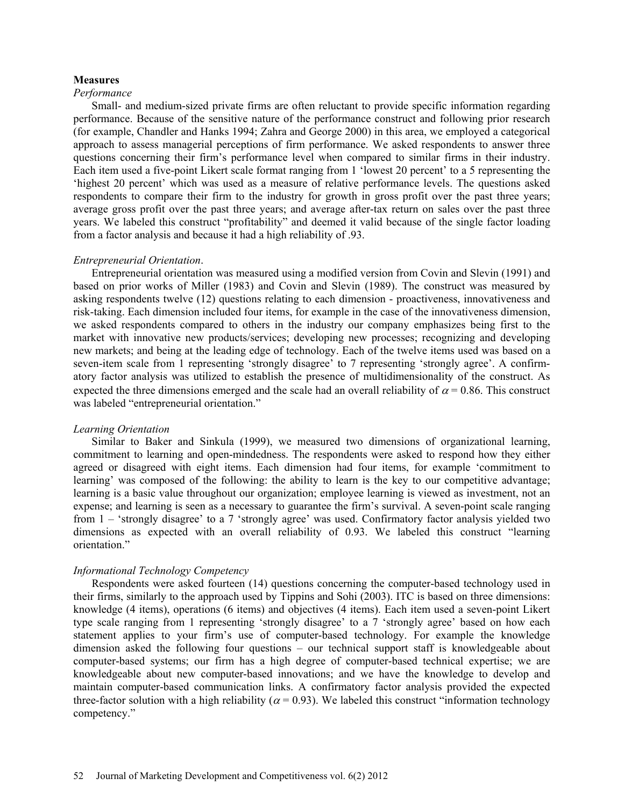### **Measures**

### *Performance*

Small- and medium-sized private firms are often reluctant to provide specific information regarding performance. Because of the sensitive nature of the performance construct and following prior research (for example, Chandler and Hanks 1994; Zahra and George 2000) in this area, we employed a categorical approach to assess managerial perceptions of firm performance. We asked respondents to answer three questions concerning their firm's performance level when compared to similar firms in their industry. Each item used a five-point Likert scale format ranging from 1 'lowest 20 percent' to a 5 representing the 'highest 20 percent' which was used as a measure of relative performance levels. The questions asked respondents to compare their firm to the industry for growth in gross profit over the past three years; average gross profit over the past three years; and average after-tax return on sales over the past three years. We labeled this construct "profitability" and deemed it valid because of the single factor loading from a factor analysis and because it had a high reliability of .93.

#### *Entrepreneurial Orientation*.

Entrepreneurial orientation was measured using a modified version from Covin and Slevin (1991) and based on prior works of Miller (1983) and Covin and Slevin (1989). The construct was measured by asking respondents twelve (12) questions relating to each dimension - proactiveness, innovativeness and risk-taking. Each dimension included four items, for example in the case of the innovativeness dimension, we asked respondents compared to others in the industry our company emphasizes being first to the market with innovative new products/services; developing new processes; recognizing and developing new markets; and being at the leading edge of technology. Each of the twelve items used was based on a seven-item scale from 1 representing 'strongly disagree' to 7 representing 'strongly agree'. A confirmatory factor analysis was utilized to establish the presence of multidimensionality of the construct. As expected the three dimensions emerged and the scale had an overall reliability of  $\alpha$  = 0.86. This construct was labeled "entrepreneurial orientation."

### *Learning Orientation*

Similar to Baker and Sinkula (1999), we measured two dimensions of organizational learning, commitment to learning and open-mindedness. The respondents were asked to respond how they either agreed or disagreed with eight items. Each dimension had four items, for example 'commitment to learning' was composed of the following: the ability to learn is the key to our competitive advantage; learning is a basic value throughout our organization; employee learning is viewed as investment, not an expense; and learning is seen as a necessary to guarantee the firm's survival. A seven-point scale ranging from 1 – 'strongly disagree' to a 7 'strongly agree' was used. Confirmatory factor analysis yielded two dimensions as expected with an overall reliability of 0.93. We labeled this construct "learning orientation."

## *Informational Technology Competency*

Respondents were asked fourteen (14) questions concerning the computer-based technology used in their firms, similarly to the approach used by Tippins and Sohi (2003). ITC is based on three dimensions: knowledge (4 items), operations (6 items) and objectives (4 items). Each item used a seven-point Likert type scale ranging from 1 representing 'strongly disagree' to a 7 'strongly agree' based on how each statement applies to your firm's use of computer-based technology. For example the knowledge dimension asked the following four questions – our technical support staff is knowledgeable about computer-based systems; our firm has a high degree of computer-based technical expertise; we are knowledgeable about new computer-based innovations; and we have the knowledge to develop and maintain computer-based communication links. A confirmatory factor analysis provided the expected three-factor solution with a high reliability ( $\alpha$  = 0.93). We labeled this construct "information technology competency."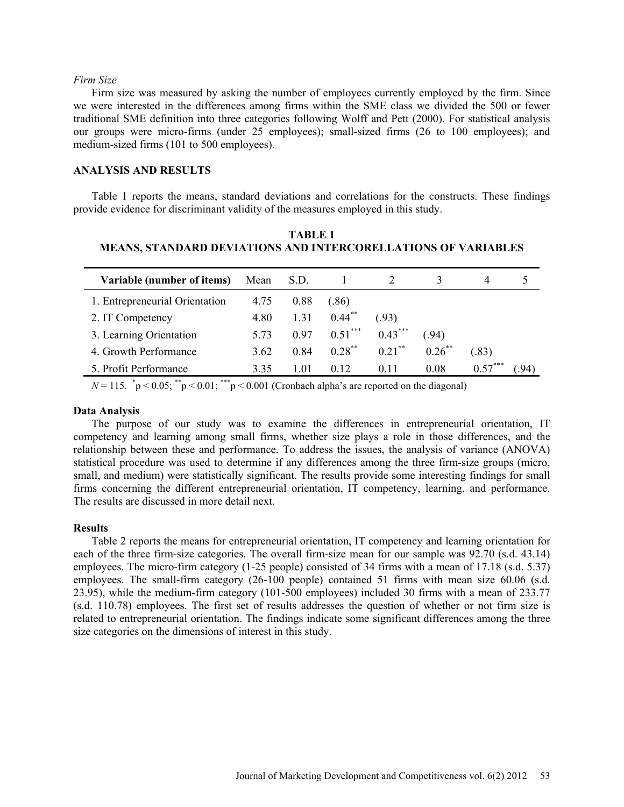### *Firm Size*

Firm size was measured by asking the number of employees currently employed by the firm. Since we were interested in the differences among firms within the SME class we divided the 500 or fewer traditional SME definition into three categories following Wolff and Pett (2000). For statistical analysis our groups were micro-firms (under 25 employees); small-sized firms (26 to 100 employees); and medium-sized firms (101 to 500 employees).

# **ANALYSIS AND RESULTS**

Table 1 reports the means, standard deviations and correlations for the constructs. These findings provide evidence for discriminant validity of the measures employed in this study.

**TABLE 1 MEANS, STANDARD DEVIATIONS AND INTERCORELLATIONS OF VARIABLES**

| Variable (number of items)     | Mean | S.D. |                 |           |           | 4         |  |
|--------------------------------|------|------|-----------------|-----------|-----------|-----------|--|
| 1. Entrepreneurial Orientation | 4.75 | 0.88 | 86)             |           |           |           |  |
| 2. IT Competency               | 4.80 | 1.31 | $0.44***$       | (93)      |           |           |  |
| 3. Learning Orientation        | 5.73 | 0.97 | $0.51***$       | $0.43***$ | (.94)     |           |  |
| 4. Growth Performance          | 3.62 | 0.84 | $0.28$ **       | $0.21$ ** | $0.26$ ** | .83)      |  |
| 5. Profit Performance          | 3.35 | 1.01 | 0 <sub>12</sub> | 0.11      | 0.08      | $0.57***$ |  |

 $N = 115$ .  $\degree p \le 0.05$ ;  $\degree^{*}p \le 0.01$ ;  $\degree^{**}p \le 0.001$  (Cronbach alpha's are reported on the diagonal)

### **Data Analysis**

The purpose of our study was to examine the differences in entrepreneurial orientation, IT competency and learning among small firms, whether size plays a role in those differences, and the relationship between these and performance. To address the issues, the analysis of variance (ANOVA) statistical procedure was used to determine if any differences among the three firm-size groups (micro, small, and medium) were statistically significant. The results provide some interesting findings for small firms concerning the different entrepreneurial orientation, IT competency, learning, and performance. The results are discussed in more detail next.

### **Results**

Table 2 reports the means for entrepreneurial orientation, IT competency and learning orientation for each of the three firm-size categories. The overall firm-size mean for our sample was 92.70 (s.d. 43.14) employees. The micro-firm category (1-25 people) consisted of 34 firms with a mean of 17.18 (s.d. 5.37) employees. The small-firm category (26-100 people) contained 51 firms with mean size 60.06 (s.d. 23.95), while the medium-firm category (101-500 employees) included 30 firms with a mean of 233.77 (s.d. 110.78) employees. The first set of results addresses the question of whether or not firm size is related to entrepreneurial orientation. The findings indicate some significant differences among the three size categories on the dimensions of interest in this study.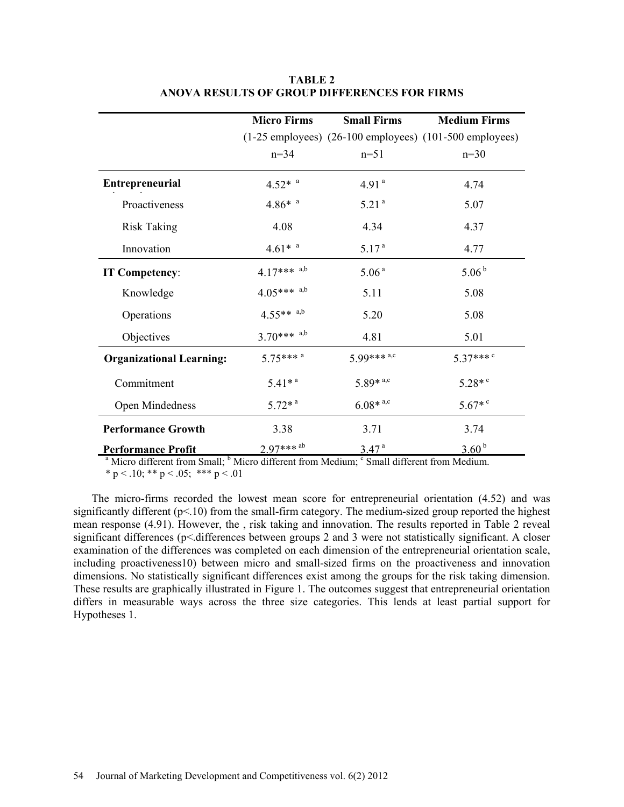|                                 | <b>Micro Firms</b>                | <b>Small Firms</b>       | <b>Medium Firms</b>                                           |
|---------------------------------|-----------------------------------|--------------------------|---------------------------------------------------------------|
|                                 |                                   |                          | $(1-25$ employees) $(26-100$ employees) $(101-500$ employees) |
|                                 | $n = 34$                          | $n=51$                   | $n=30$                                                        |
| <b>Entrepreneurial</b>          | $4.52*$ <sup>a</sup>              | 4.91 <sup>a</sup>        | 4.74                                                          |
| Proactiveness                   | $4.86*$ <sup>a</sup>              | 5.21 <sup>a</sup>        | 5.07                                                          |
| <b>Risk Taking</b>              | 4.08                              | 4.34                     | 4.37                                                          |
| Innovation                      | $4.61*$ <sup><math>a</math></sup> | 5.17 <sup>a</sup>        | 4.77                                                          |
| IT Competency:                  | $4.17***$ a,b                     | 5.06 <sup>a</sup>        | 5.06 <sup>b</sup>                                             |
| Knowledge                       | $4.05***$ a,b                     | 5.11                     | 5.08                                                          |
| Operations                      | $4.55***$ a,b                     | 5.20                     | 5.08                                                          |
| Objectives                      | $3.70***$ a,b                     | 4.81                     | 5.01                                                          |
| <b>Organizational Learning:</b> | $5.75***$ <sup>a</sup>            | $5.99***$ <sup>a,c</sup> | 5.37*** <sup>c</sup>                                          |
| Commitment                      | $5.41*$ <sup>a</sup>              | 5.89 $*$ <sup>a,c</sup>  | $5.28*$ <sup>c</sup>                                          |
| Open Mindedness                 | $5.72*$ <sup>a</sup>              | $6.08*$ <sup>a,c</sup>   | $5.67*$                                                       |
| <b>Performance Growth</b>       | 3.38                              | 3.71                     | 3.74                                                          |
| <b>Performance Profit</b>       | 2.97*** <sup>ab</sup>             | 3.47 <sup>a</sup>        | 3.60 <sup>b</sup>                                             |

**TABLE 2 ANOVA RESULTS OF GROUP DIFFERENCES FOR FIRMS**

<sup>a</sup> Micro different from Small;  $\frac{b}{n}$  Micro different from Medium; <sup>c</sup> Small different from Medium. \* p < .10; \*\* p < .05; \*\*\* p < .01

The micro-firms recorded the lowest mean score for entrepreneurial orientation (4.52) and was significantly different (p<.10) from the small-firm category. The medium-sized group reported the highest mean response (4.91). However, the , risk taking and innovation. The results reported in Table 2 reveal significant differences (p< differences between groups 2 and 3 were not statistically significant. A closer examination of the differences was completed on each dimension of the entrepreneurial orientation scale, including proactiveness10) between micro and small-sized firms on the proactiveness and innovation dimensions. No statistically significant differences exist among the groups for the risk taking dimension. These results are graphically illustrated in Figure 1. The outcomes suggest that entrepreneurial orientation differs in measurable ways across the three size categories. This lends at least partial support for Hypotheses 1.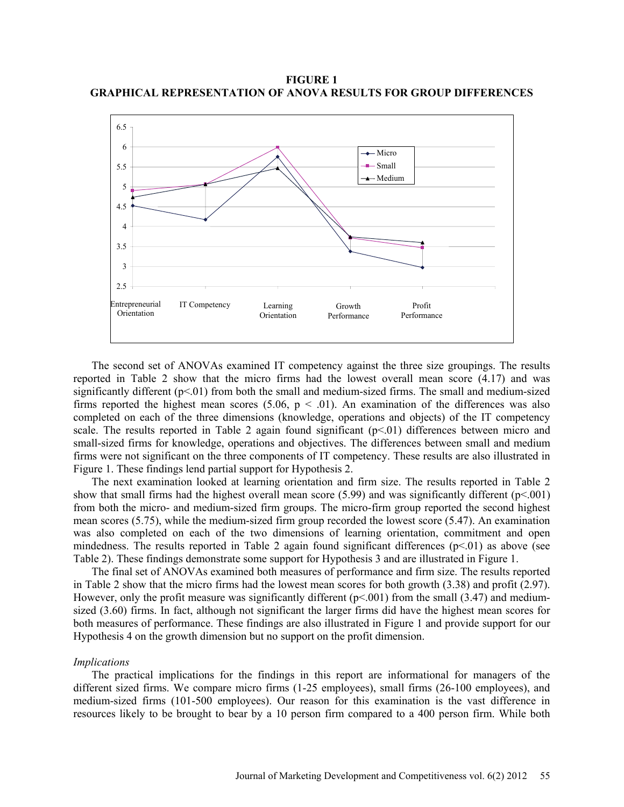**FIGURE 1 GRAPHICAL REPRESENTATION OF ANOVA RESULTS FOR GROUP DIFFERENCES**



The second set of ANOVAs examined IT competency against the three size groupings. The results reported in Table 2 show that the micro firms had the lowest overall mean score (4.17) and was significantly different (p<.01) from both the small and medium-sized firms. The small and medium-sized firms reported the highest mean scores (5.06,  $p < .01$ ). An examination of the differences was also completed on each of the three dimensions (knowledge, operations and objects) of the IT competency scale. The results reported in Table 2 again found significant  $(p<01)$  differences between micro and small-sized firms for knowledge, operations and objectives. The differences between small and medium firms were not significant on the three components of IT competency. These results are also illustrated in Figure 1. These findings lend partial support for Hypothesis 2.

The next examination looked at learning orientation and firm size. The results reported in Table 2 show that small firms had the highest overall mean score (5.99) and was significantly different ( $p<0.01$ ) from both the micro- and medium-sized firm groups. The micro-firm group reported the second highest mean scores (5.75), while the medium-sized firm group recorded the lowest score (5.47). An examination was also completed on each of the two dimensions of learning orientation, commitment and open mindedness. The results reported in Table 2 again found significant differences  $(p<01)$  as above (see Table 2). These findings demonstrate some support for Hypothesis 3 and are illustrated in Figure 1.

The final set of ANOVAs examined both measures of performance and firm size. The results reported in Table 2 show that the micro firms had the lowest mean scores for both growth (3.38) and profit (2.97). However, only the profit measure was significantly different  $(p<0.01)$  from the small (3.47) and mediumsized (3.60) firms. In fact, although not significant the larger firms did have the highest mean scores for both measures of performance. These findings are also illustrated in Figure 1 and provide support for our Hypothesis 4 on the growth dimension but no support on the profit dimension.

### *Implications*

The practical implications for the findings in this report are informational for managers of the different sized firms. We compare micro firms (1-25 employees), small firms (26-100 employees), and medium-sized firms (101-500 employees). Our reason for this examination is the vast difference in resources likely to be brought to bear by a 10 person firm compared to a 400 person firm. While both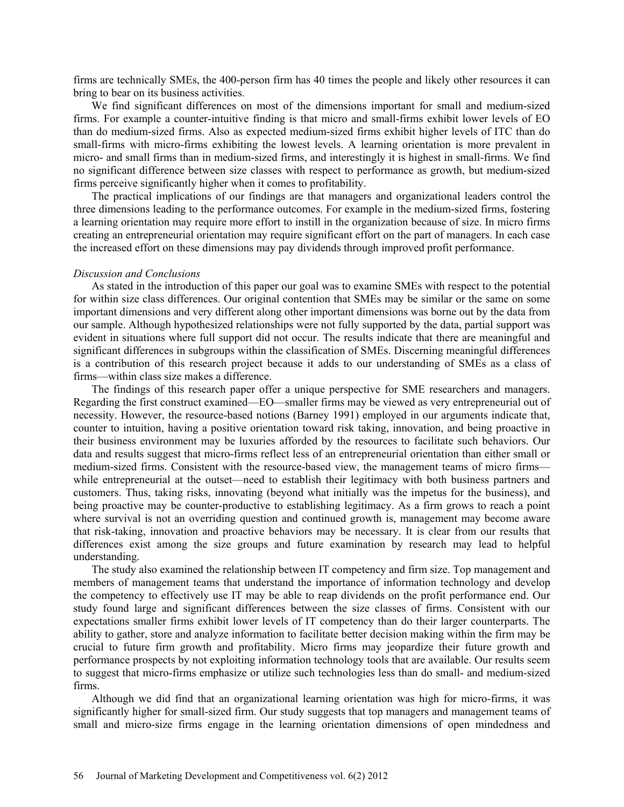firms are technically SMEs, the 400-person firm has 40 times the people and likely other resources it can bring to bear on its business activities.

We find significant differences on most of the dimensions important for small and medium-sized firms. For example a counter-intuitive finding is that micro and small-firms exhibit lower levels of EO than do medium-sized firms. Also as expected medium-sized firms exhibit higher levels of ITC than do small-firms with micro-firms exhibiting the lowest levels. A learning orientation is more prevalent in micro- and small firms than in medium-sized firms, and interestingly it is highest in small-firms. We find no significant difference between size classes with respect to performance as growth, but medium-sized firms perceive significantly higher when it comes to profitability.

The practical implications of our findings are that managers and organizational leaders control the three dimensions leading to the performance outcomes. For example in the medium-sized firms, fostering a learning orientation may require more effort to instill in the organization because of size. In micro firms creating an entrepreneurial orientation may require significant effort on the part of managers. In each case the increased effort on these dimensions may pay dividends through improved profit performance.

#### *Discussion and Conclusions*

As stated in the introduction of this paper our goal was to examine SMEs with respect to the potential for within size class differences. Our original contention that SMEs may be similar or the same on some important dimensions and very different along other important dimensions was borne out by the data from our sample. Although hypothesized relationships were not fully supported by the data, partial support was evident in situations where full support did not occur. The results indicate that there are meaningful and significant differences in subgroups within the classification of SMEs. Discerning meaningful differences is a contribution of this research project because it adds to our understanding of SMEs as a class of firms—within class size makes a difference.

The findings of this research paper offer a unique perspective for SME researchers and managers. Regarding the first construct examined—EO—smaller firms may be viewed as very entrepreneurial out of necessity. However, the resource-based notions (Barney 1991) employed in our arguments indicate that, counter to intuition, having a positive orientation toward risk taking, innovation, and being proactive in their business environment may be luxuries afforded by the resources to facilitate such behaviors. Our data and results suggest that micro-firms reflect less of an entrepreneurial orientation than either small or medium-sized firms. Consistent with the resource-based view, the management teams of micro firms while entrepreneurial at the outset—need to establish their legitimacy with both business partners and customers. Thus, taking risks, innovating (beyond what initially was the impetus for the business), and being proactive may be counter-productive to establishing legitimacy. As a firm grows to reach a point where survival is not an overriding question and continued growth is, management may become aware that risk-taking, innovation and proactive behaviors may be necessary. It is clear from our results that differences exist among the size groups and future examination by research may lead to helpful understanding.

The study also examined the relationship between IT competency and firm size. Top management and members of management teams that understand the importance of information technology and develop the competency to effectively use IT may be able to reap dividends on the profit performance end. Our study found large and significant differences between the size classes of firms. Consistent with our expectations smaller firms exhibit lower levels of IT competency than do their larger counterparts. The ability to gather, store and analyze information to facilitate better decision making within the firm may be crucial to future firm growth and profitability. Micro firms may jeopardize their future growth and performance prospects by not exploiting information technology tools that are available. Our results seem to suggest that micro-firms emphasize or utilize such technologies less than do small- and medium-sized firms.

Although we did find that an organizational learning orientation was high for micro-firms, it was significantly higher for small-sized firm. Our study suggests that top managers and management teams of small and micro-size firms engage in the learning orientation dimensions of open mindedness and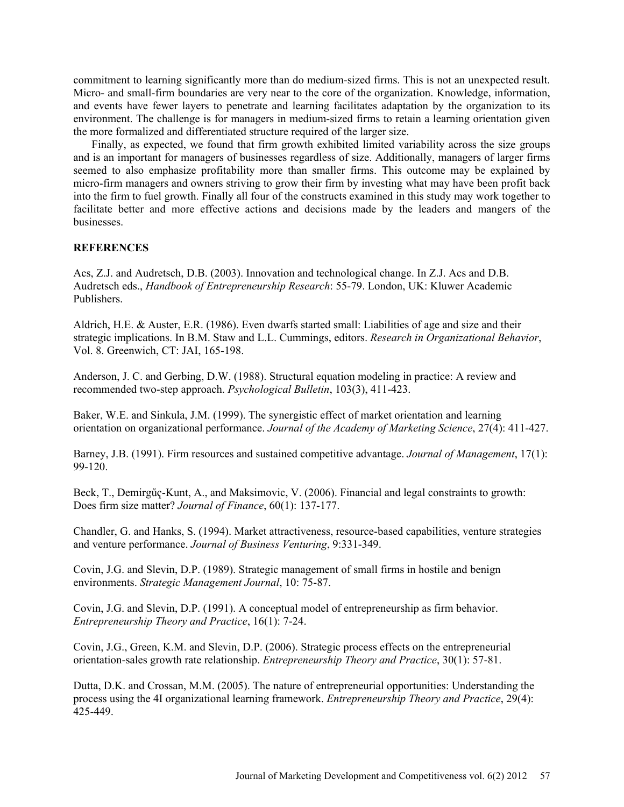commitment to learning significantly more than do medium-sized firms. This is not an unexpected result. Micro- and small-firm boundaries are very near to the core of the organization. Knowledge, information, and events have fewer layers to penetrate and learning facilitates adaptation by the organization to its environment. The challenge is for managers in medium-sized firms to retain a learning orientation given the more formalized and differentiated structure required of the larger size.

Finally, as expected, we found that firm growth exhibited limited variability across the size groups and is an important for managers of businesses regardless of size. Additionally, managers of larger firms seemed to also emphasize profitability more than smaller firms. This outcome may be explained by micro-firm managers and owners striving to grow their firm by investing what may have been profit back into the firm to fuel growth. Finally all four of the constructs examined in this study may work together to facilitate better and more effective actions and decisions made by the leaders and mangers of the businesses.

### **REFERENCES**

Acs, Z.J. and Audretsch, D.B. (2003). Innovation and technological change. In Z.J. Acs and D.B. Audretsch eds., *Handbook of Entrepreneurship Research*: 55-79. London, UK: Kluwer Academic Publishers.

Aldrich, H.E. & Auster, E.R. (1986). Even dwarfs started small: Liabilities of age and size and their strategic implications. In B.M. Staw and L.L. Cummings, editors. *Research in Organizational Behavior*, Vol. 8. Greenwich, CT: JAI, 165-198.

Anderson, J. C. and Gerbing, D.W. (1988). Structural equation modeling in practice: A review and recommended two-step approach. *Psychological Bulletin*, 103(3), 411-423.

Baker, W.E. and Sinkula, J.M. (1999). The synergistic effect of market orientation and learning orientation on organizational performance. *Journal of the Academy of Marketing Science*, 27(4): 411-427.

Barney, J.B. (1991). Firm resources and sustained competitive advantage. *Journal of Management*, 17(1): 99-120.

Beck, T., Demirgűҁ-Kunt, A., and Maksimovic, V. (2006). Financial and legal constraints to growth: Does firm size matter? *Journal of Finance*, 60(1): 137-177.

Chandler, G. and Hanks, S. (1994). Market attractiveness, resource-based capabilities, venture strategies and venture performance. *Journal of Business Venturing*, 9:331-349.

Covin, J.G. and Slevin, D.P. (1989). Strategic management of small firms in hostile and benign environments. *Strategic Management Journal*, 10: 75-87.

Covin, J.G. and Slevin, D.P. (1991). A conceptual model of entrepreneurship as firm behavior. *Entrepreneurship Theory and Practice*, 16(1): 7-24.

Covin, J.G., Green, K.M. and Slevin, D.P. (2006). Strategic process effects on the entrepreneurial orientation-sales growth rate relationship. *Entrepreneurship Theory and Practice*, 30(1): 57-81.

Dutta, D.K. and Crossan, M.M. (2005). The nature of entrepreneurial opportunities: Understanding the process using the 4I organizational learning framework. *Entrepreneurship Theory and Practice*, 29(4): 425-449.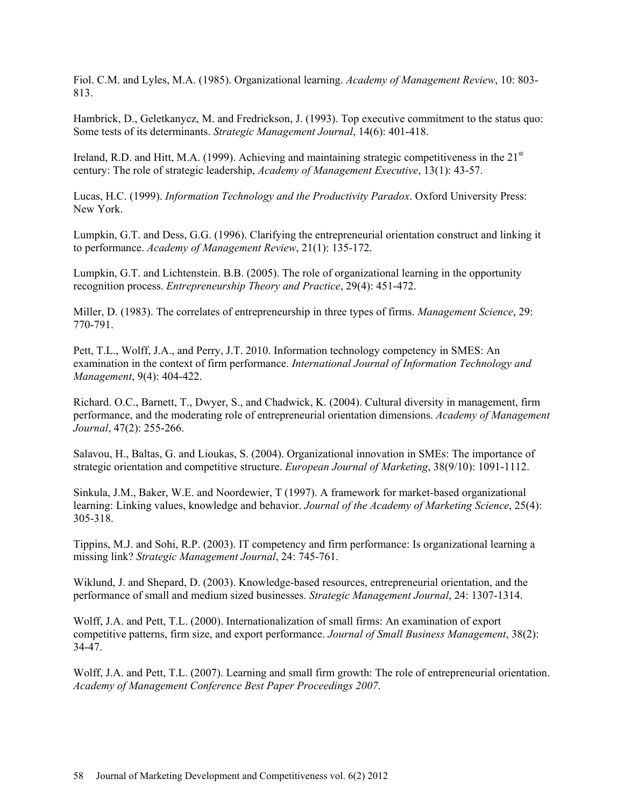Fiol. C.M. and Lyles, M.A. (1985). Organizational learning. *Academy of Management Review*, 10: 803- 813.

Hambrick, D., Geletkanycz, M. and Fredrickson, J. (1993). Top executive commitment to the status quo: Some tests of its determinants. *Strategic Management Journal*, 14(6): 401-418.

Ireland, R.D. and Hitt, M.A. (1999). Achieving and maintaining strategic competitiveness in the  $21<sup>st</sup>$ century: The role of strategic leadership, *Academy of Management Executive*, 13(1): 43-57.

Lucas, H.C. (1999). *Information Technology and the Productivity Paradox*. Oxford University Press: New York.

Lumpkin, G.T. and Dess, G.G. (1996). Clarifying the entrepreneurial orientation construct and linking it to performance. *Academy of Management Review*, 21(1): 135-172.

Lumpkin, G.T. and Lichtenstein. B.B. (2005). The role of organizational learning in the opportunity recognition process. *Entrepreneurship Theory and Practice*, 29(4): 451-472.

Miller, D. (1983). The correlates of entrepreneurship in three types of firms. *Management Science*, 29: 770-791.

Pett, T.L., Wolff, J.A., and Perry, J.T. 2010. Information technology competency in SMES: An examination in the context of firm performance. *International Journal of Information Technology and Management*, 9(4): 404-422.

Richard. O.C., Barnett, T., Dwyer, S., and Chadwick, K. (2004). Cultural diversity in management, firm performance, and the moderating role of entrepreneurial orientation dimensions. *Academy of Management Journal*, 47(2): 255-266.

Salavou, H., Baltas, G. and Lioukas, S. (2004). Organizational innovation in SMEs: The importance of strategic orientation and competitive structure. *European Journal of Marketing*, 38(9/10): 1091-1112.

Sinkula, J.M., Baker, W.E. and Noordewier, T (1997). A framework for market-based organizational learning: Linking values, knowledge and behavior. *Journal of the Academy of Marketing Science*, 25(4): 305-318.

Tippins, M.J. and Sohi, R.P. (2003). IT competency and firm performance: Is organizational learning a missing link? *Strategic Management Journal*, 24: 745-761.

Wiklund, J. and Shepard, D. (2003). Knowledge-based resources, entrepreneurial orientation, and the performance of small and medium sized businesses. *Strategic Management Journal*, 24: 1307-1314.

Wolff, J.A. and Pett, T.L. (2000). Internationalization of small firms: An examination of export competitive patterns, firm size, and export performance. *Journal of Small Business Management*, 38(2): 34-47.

Wolff, J.A. and Pett, T.L. (2007). Learning and small firm growth: The role of entrepreneurial orientation. *Academy of Management Conference Best Paper Proceedings 2007*.